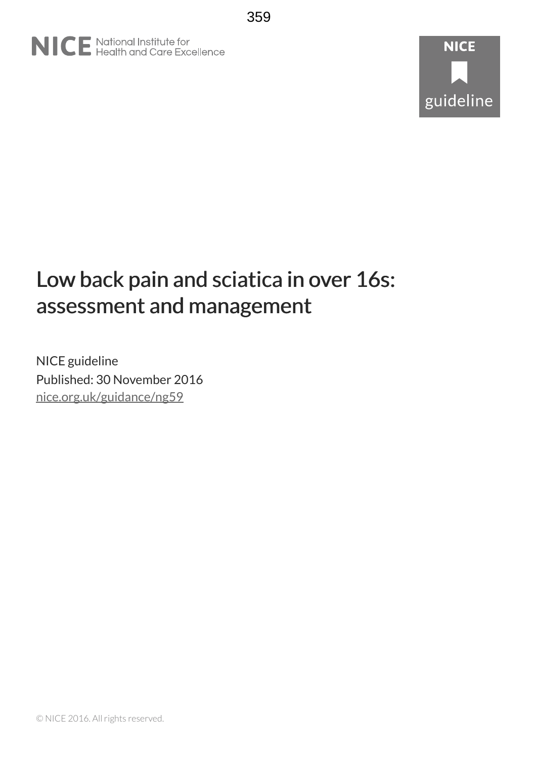# NICE National Institute for<br>
Realth and Care Excellence

# **NICE** guideline

## Low back pain and sciatica in over 16s: assessment and management

NICE guideline Published: 30 November 2016 [nice.org.uk/guidance/ng59](http://nice.org.uk/guidance/ng59)

© NICE 2016. All rights reserved.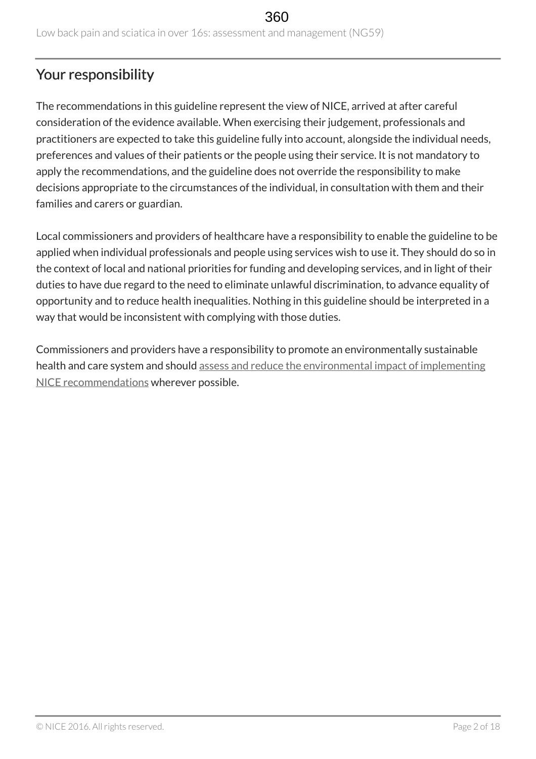## Your responsibility

The recommendations in this guideline represent the view of NICE, arrived at after careful consideration of the evidence available. When exercising their judgement, professionals and practitioners are expected to take this guideline fully into account, alongside the individual needs, preferences and values of their patients or the people using their service. It is not mandatory to apply the recommendations, and the guideline does not override the responsibility to make decisions appropriate to the circumstances of the individual, in consultation with them and their families and carers or guardian.

Local commissioners and providers of healthcare have a responsibility to enable the guideline to be applied when individual professionals and people using services wish to use it. They should do so in the context of local and national priorities for funding and developing services, and in light of their duties to have due regard to the need to eliminate unlawful discrimination, to advance equality of opportunity and to reduce health inequalities. Nothing in this guideline should be interpreted in a way that would be inconsistent with complying with those duties.

Commissioners and providers have a responsibility to promote an environmentally sustainable health and care system and should [assess and reduce the environmental impact of implementing](https://www.nice.org.uk/about/who-we-are/sustainability) [NICE recommendations](https://www.nice.org.uk/about/who-we-are/sustainability) wherever possible.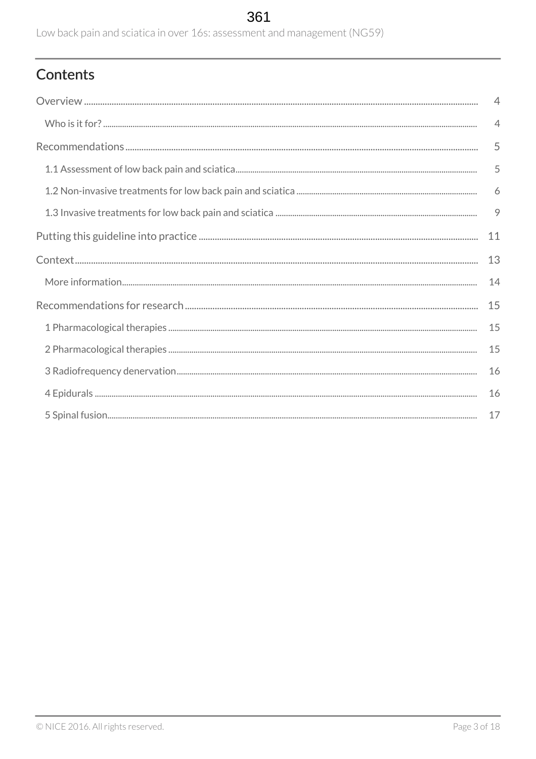## 361

Low back pain and sciatica in over 16s: assessment and management (NG59)

## Contents

| $\overline{4}$ |
|----------------|
| $\overline{4}$ |
| 5              |
| 5              |
| 6              |
| 9              |
| 11             |
| 13             |
| 14             |
| 15             |
| 15             |
| 15             |
| 16             |
| 16             |
| 17             |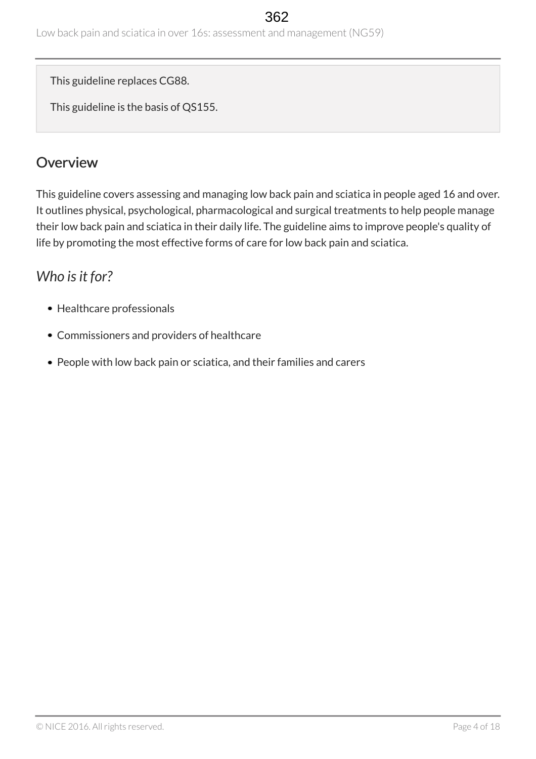Low back pain and sciatica in over 16s: assessment and management (NG59)

This guideline replaces CG88.

This guideline is the basis of QS155.

## <span id="page-3-0"></span>**Overview**

This guideline covers assessing and managing low back pain and sciatica in people aged 16 and over. It outlines physical, psychological, pharmacological and surgical treatments to help people manage their low back pain and sciatica in their daily life. The guideline aims to improve people's quality of life by promoting the most effective forms of care for low back pain and sciatica.

## <span id="page-3-1"></span>*Who is it for?*

- Healthcare professionals
- Commissioners and providers of healthcare
- People with low back pain or sciatica, and their families and carers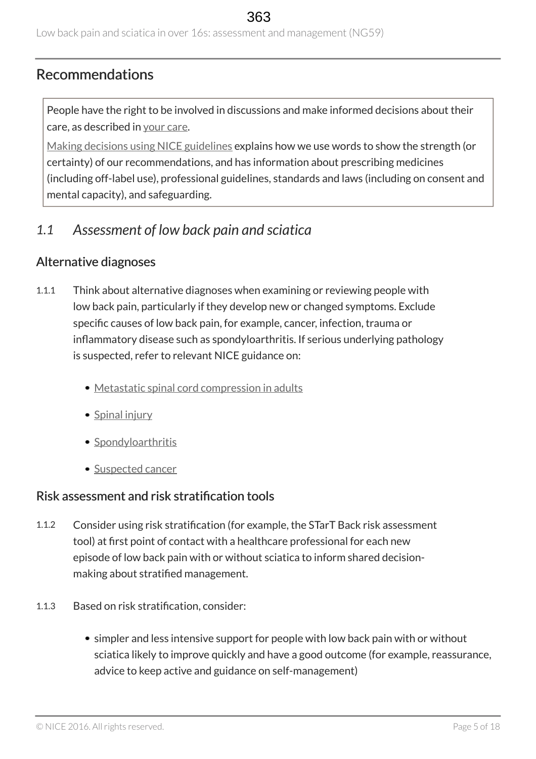## <span id="page-4-0"></span>Recommendations

People have the right to be involved in discussions and make informed decisions about their care, as described in [your care](https://www.nice.org.uk/about/nice-communities/public-involvement/your-care).

[Making decisions using NICE guidelines](http://www.nice.org.uk/about/what-we-do/our-programmes/nice-guidance/nice-guidelines/using-NICE-guidelines-to-make-decisions) explains how we use words to show the strength (or certainty) of our recommendations, and has information about prescribing medicines (including off-label use), professional guidelines, standards and laws (including on consent and mental capacity), and safeguarding.

## <span id="page-4-1"></span>*1.1 Assessment of low back pain and sciatica*

#### Alternative diagnoses

- 1.1.1 Think about alternative diagnoses when examining or reviewing people with low back pain, particularly if they develop new or changed symptoms. Exclude specific causes of low back pain, for example, cancer, infection, trauma or inflammatory disease such as spondyloarthritis. If serious underlying pathology is suspected, refer to relevant NICE guidance on:
	- [Metastatic spinal cord compression in adults](http://www.nice.org.uk/guidance/cg75)
	- [Spinal injury](http://www.nice.org.uk/guidance/ng41)
	- [Spondyloarthritis](http://www.nice.org.uk/guidance/ng65)
	- [Suspected cancer](http://www.nice.org.uk/guidance/ng12)

#### Risk assessment and risk stratification tools

- 1.1.2 Consider using risk stratification (for example, the STarT Back risk assessment tool) at first point of contact with a healthcare professional for each new episode of low back pain with or without sciatica to inform shared decisionmaking about stratified management.
- 1.1.3 Based on risk stratification, consider:
	- simpler and less intensive support for people with low back pain with or without sciatica likely to improve quickly and have a good outcome (for example, reassurance, advice to keep active and guidance on self-management)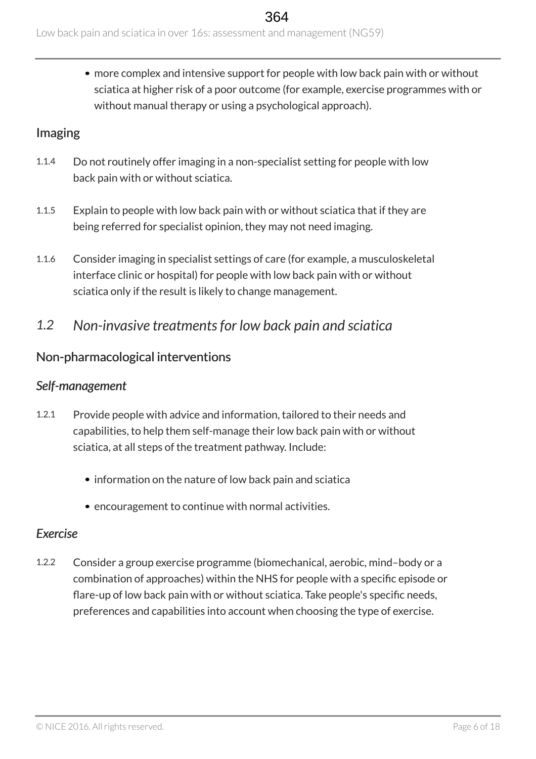more complex and intensive support for people with low back pain with or without sciatica at higher risk of a poor outcome (for example, exercise programmes with or without manual therapy or using a psychological approach).

## Imaging

- 1.1.4 Do not routinely offer imaging in a non-specialist setting for people with low back pain with or without sciatica.
- 1.1.5 Explain to people with low back pain with or without sciatica that if they are being referred for specialist opinion, they may not need imaging.
- 1.1.6 Consider imaging in specialist settings of care (for example, a musculoskeletal interface clinic or hospital) for people with low back pain with or without sciatica only if the result is likely to change management.
- <span id="page-5-0"></span>*1.2 Non-invasive treatments for low back pain and sciatica*

#### Non-pharmacological interventions

#### *Self-management*

- 1.2.1 Provide people with advice and information, tailored to their needs and capabilities, to help them self-manage their low back pain with or without sciatica, at all steps of the treatment pathway. Include:
	- information on the nature of low back pain and sciatica
	- encouragement to continue with normal activities.

#### *Exercise*

1.2.2 Consider a group exercise programme (biomechanical, aerobic, mind–body or a combination of approaches) within the NHS for people with a specific episode or flare-up of low back pain with or without sciatica. Take people's specific needs, preferences and capabilities into account when choosing the type of exercise.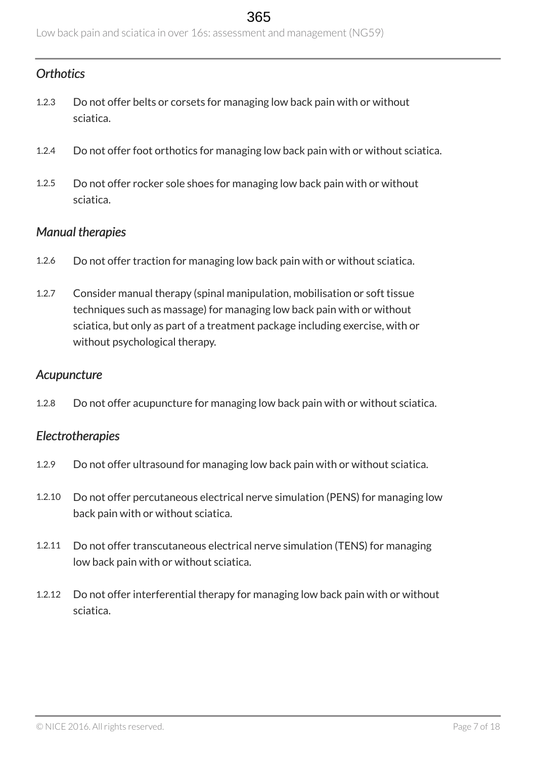## *Orthotics*

- 1.2.3 Do not offer belts or corsets for managing low back pain with or without sciatica.
- 1.2.4 Do not offer foot orthotics for managing low back pain with or without sciatica.
- 1.2.5 Do not offer rocker sole shoes for managing low back pain with or without sciatica.

#### *Manual therapies*

- 1.2.6 Do not offer traction for managing low back pain with or without sciatica.
- 1.2.7 Consider manual therapy (spinal manipulation, mobilisation or soft tissue techniques such as massage) for managing low back pain with or without sciatica, but only as part of a treatment package including exercise, with or without psychological therapy.

#### *Acupuncture*

1.2.8 Do not offer acupuncture for managing low back pain with or without sciatica.

#### *Electrotherapies*

- 1.2.9 Do not offer ultrasound for managing low back pain with or without sciatica.
- 1.2.10 Do not offer percutaneous electrical nerve simulation (PENS) for managing low back pain with or without sciatica.
- 1.2.11 Do not offer transcutaneous electrical nerve simulation (TENS) for managing low back pain with or without sciatica.
- 1.2.12 Do not offer interferential therapy for managing low back pain with or without sciatica.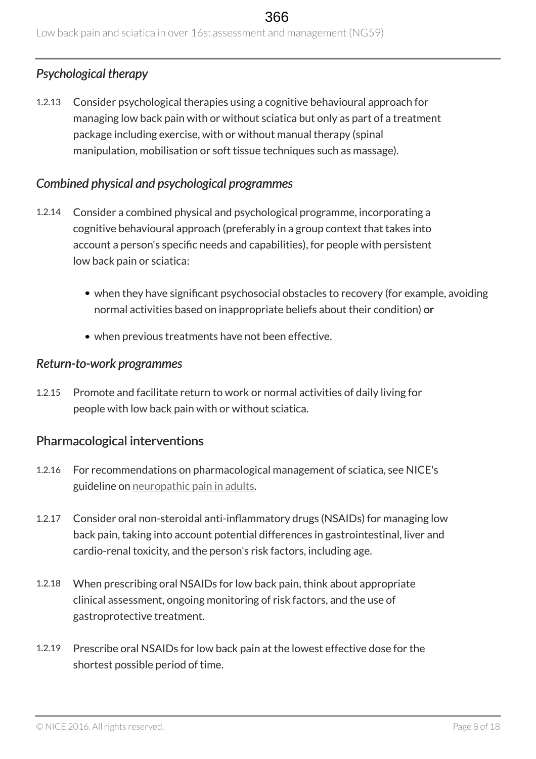## *Psychological therapy*

1.2.13 Consider psychological therapies using a cognitive behavioural approach for managing low back pain with or without sciatica but only as part of a treatment package including exercise, with or without manual therapy (spinal manipulation, mobilisation or soft tissue techniques such as massage).

#### *Combined physical and psychological programmes*

- 1.2.14 Consider a combined physical and psychological programme, incorporating a cognitive behavioural approach (preferably in a group context that takes into account a person's specific needs and capabilities), for people with persistent low back pain or sciatica:
	- when they have significant psychosocial obstacles to recovery (for example, avoiding normal activities based on inappropriate beliefs about their condition) or
	- when previous treatments have not been effective.

#### *Return-to-work programmes*

1.2.15 Promote and facilitate return to work or normal activities of daily living for people with low back pain with or without sciatica.

#### Pharmacological interventions

- 1.2.16 For recommendations on pharmacological management of sciatica, see NICE's guideline on [neuropathic pain in adults](http://www.nice.org.uk/guidance/cg173).
- 1.2.17 Consider oral non-steroidal anti-inflammatory drugs (NSAIDs) for managing low back pain, taking into account potential differences in gastrointestinal, liver and cardio-renal toxicity, and the person's risk factors, including age.
- 1.2.18 When prescribing oral NSAIDs for low back pain, think about appropriate clinical assessment, ongoing monitoring of risk factors, and the use of gastroprotective treatment.
- 1.2.19 Prescribe oral NSAIDs for low back pain at the lowest effective dose for the shortest possible period of time.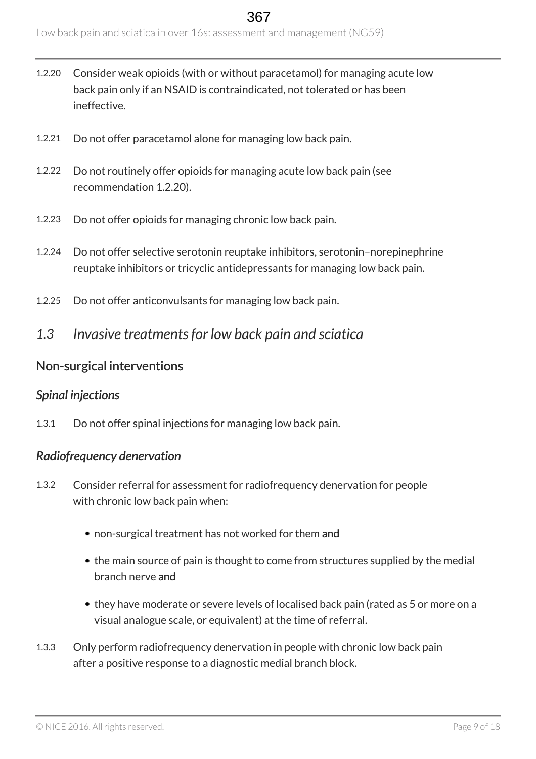- 1.2.20 Consider weak opioids (with or without paracetamol) for managing acute low back pain only if an NSAID is contraindicated, not tolerated or has been ineffective.
- 1.2.21 Do not offer paracetamol alone for managing low back pain.
- 1.2.22 Do not routinely offer opioids for managing acute low back pain (see recommendation 1.2.20).
- 1.2.23 Do not offer opioids for managing chronic low back pain.
- 1.2.24 Do not offer selective serotonin reuptake inhibitors, serotonin–norepinephrine reuptake inhibitors or tricyclic antidepressants for managing low back pain.
- 1.2.25 Do not offer anticonvulsants for managing low back pain.
- <span id="page-8-0"></span>*1.3 Invasive treatments for low back pain and sciatica*

#### Non-surgical interventions

#### *Spinal injections*

1.3.1 Do not offer spinal injections for managing low back pain.

#### *Radiofrequency denervation*

- 1.3.2 Consider referral for assessment for radiofrequency denervation for people with chronic low back pain when:
	- non-surgical treatment has not worked for them and
	- the main source of pain is thought to come from structures supplied by the medial branch nerve and
	- they have moderate or severe levels of localised back pain (rated as 5 or more on a visual analogue scale, or equivalent) at the time of referral.
- 1.3.3 Only perform radiofrequency denervation in people with chronic low back pain after a positive response to a diagnostic medial branch block.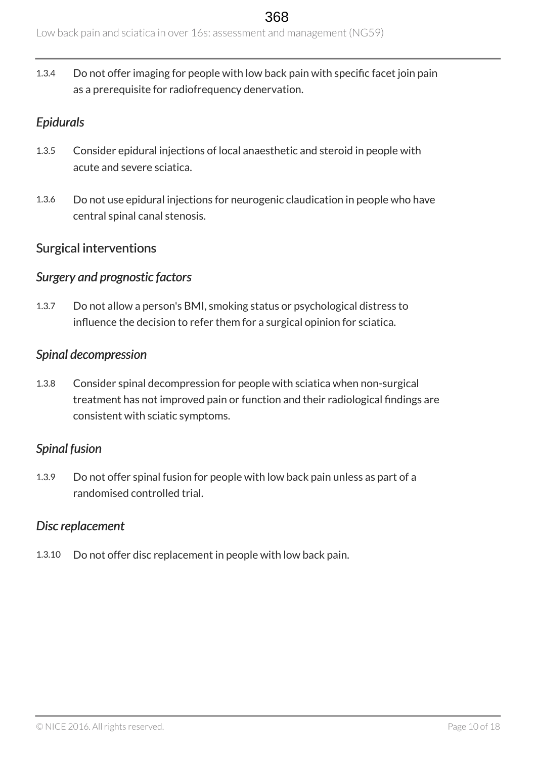Low back pain and sciatica in over 16s: assessment and management (NG59)

1.3.4 Do not offer imaging for people with low back pain with specific facet join pain as a prerequisite for radiofrequency denervation.

#### *Epidurals*

- 1.3.5 Consider epidural injections of local anaesthetic and steroid in people with acute and severe sciatica.
- 1.3.6 Do not use epidural injections for neurogenic claudication in people who have central spinal canal stenosis.

#### Surgical interventions

#### *Surgery and prognostic factors*

1.3.7 Do not allow a person's BMI, smoking status or psychological distress to influence the decision to refer them for a surgical opinion for sciatica.

#### *Spinal decompression*

1.3.8 Consider spinal decompression for people with sciatica when non-surgical treatment has not improved pain or function and their radiological findings are consistent with sciatic symptoms.

#### *Spinal fusion*

1.3.9 Do not offer spinal fusion for people with low back pain unless as part of a randomised controlled trial.

#### *Disc replacement*

1.3.10 Do not offer disc replacement in people with low back pain.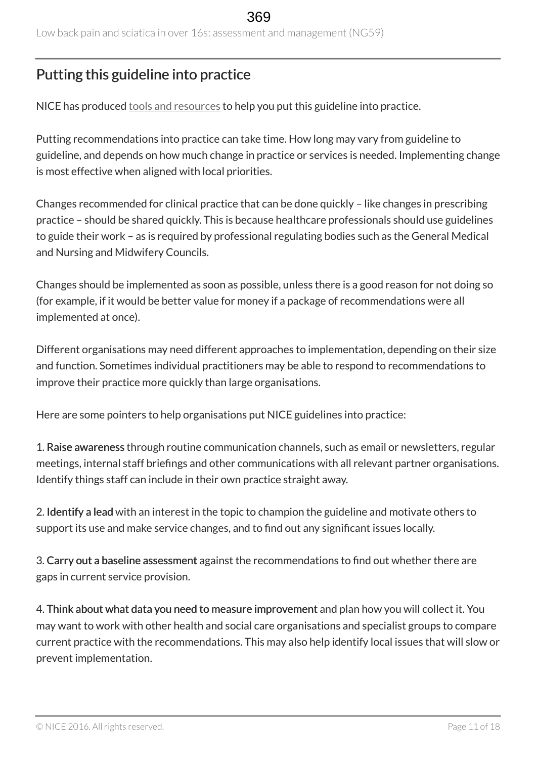## <span id="page-10-0"></span>Putting this guideline into practice

NICE has produced [tools and resources](http://www.nice.org.uk/guidance/ng59/resources) to help you put this guideline into practice.

Putting recommendations into practice can take time. How long may vary from guideline to guideline, and depends on how much change in practice or services is needed. Implementing change is most effective when aligned with local priorities.

Changes recommended for clinical practice that can be done quickly – like changes in prescribing practice – should be shared quickly. This is because healthcare professionals should use guidelines to guide their work – as is required by professional regulating bodies such as the General Medical and Nursing and Midwifery Councils.

Changes should be implemented as soon as possible, unless there is a good reason for not doing so (for example, if it would be better value for money if a package of recommendations were all implemented at once).

Different organisations may need different approaches to implementation, depending on their size and function. Sometimes individual practitioners may be able to respond to recommendations to improve their practice more quickly than large organisations.

Here are some pointers to help organisations put NICE guidelines into practice:

1. Raise awareness through routine communication channels, such as email or newsletters, regular meetings, internal staff briefings and other communications with all relevant partner organisations. Identify things staff can include in their own practice straight away.

2. Identify a lead with an interest in the topic to champion the guideline and motivate others to support its use and make service changes, and to find out any significant issues locally.

3. Carry out a baseline assessment against the recommendations to find out whether there are gaps in current service provision.

4. Think about what data you need to measure improvement and plan how you will collect it. You may want to work with other health and social care organisations and specialist groups to compare current practice with the recommendations. This may also help identify local issues that will slow or prevent implementation.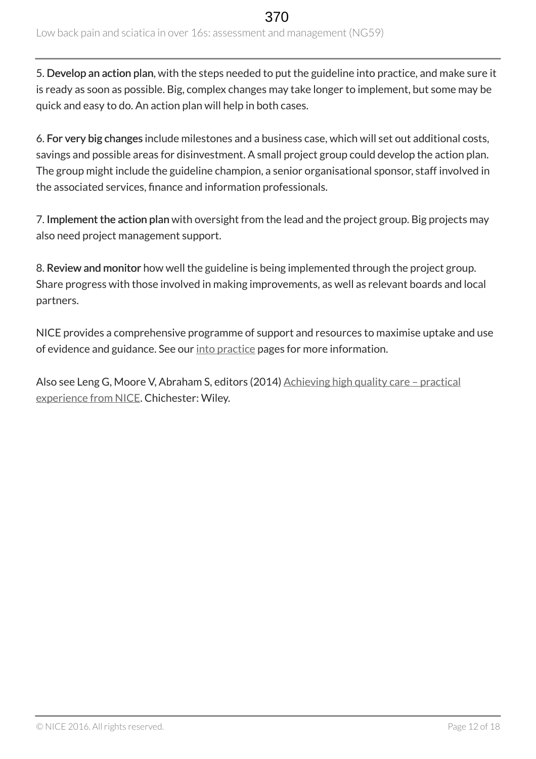5. Develop an action plan, with the steps needed to put the guideline into practice, and make sure it is ready as soon as possible. Big, complex changes may take longer to implement, but some may be quick and easy to do. An action plan will help in both cases.

6. For very big changes include milestones and a business case, which will set out additional costs, savings and possible areas for disinvestment. A small project group could develop the action plan. The group might include the guideline champion, a senior organisational sponsor, staff involved in the associated services, finance and information professionals.

7. Implement the action plan with oversight from the lead and the project group. Big projects may also need project management support.

8. Review and monitor how well the guideline is being implemented through the project group. Share progress with those involved in making improvements, as well as relevant boards and local partners.

NICE provides a comprehensive programme of support and resources to maximise uptake and use of evidence and guidance. See our [into practice](https://www.nice.org.uk/about/what-we-do/into-practice) pages for more information.

Also see Leng G, Moore V, Abraham S, editors (2014) [Achieving high quality care – practical](http://onlinelibrary.wiley.com/doi/10.1002/9781118543412.ch2/summary) [experience from NICE.](http://onlinelibrary.wiley.com/doi/10.1002/9781118543412.ch2/summary) Chichester: Wiley.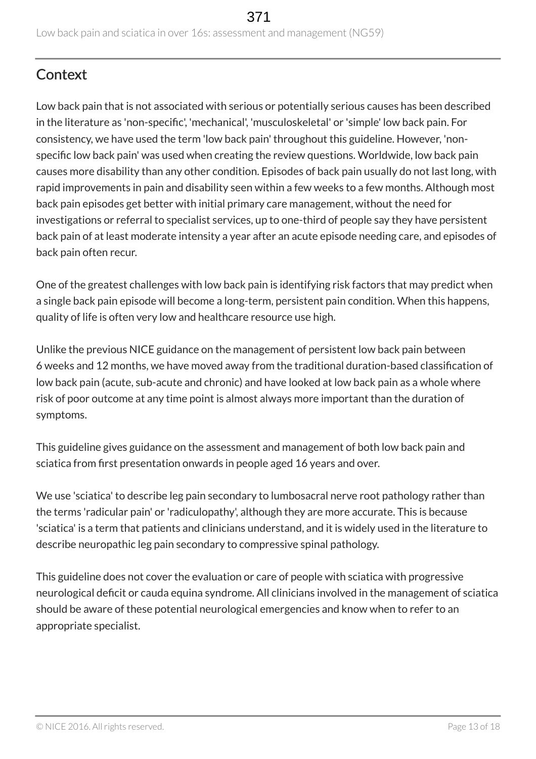## <span id="page-12-0"></span>**Context**

Low back pain that is not associated with serious or potentially serious causes has been described in the literature as 'non-specific', 'mechanical', 'musculoskeletal' or 'simple' low back pain. For consistency, we have used the term 'low back pain' throughout this guideline. However, 'nonspecific low back pain' was used when creating the review questions. Worldwide, low back pain causes more disability than any other condition. Episodes of back pain usually do not last long, with rapid improvements in pain and disability seen within a few weeks to a few months. Although most back pain episodes get better with initial primary care management, without the need for investigations or referral to specialist services, up to one-third of people say they have persistent back pain of at least moderate intensity a year after an acute episode needing care, and episodes of back pain often recur.

One of the greatest challenges with low back pain is identifying risk factors that may predict when a single back pain episode will become a long-term, persistent pain condition. When this happens, quality of life is often very low and healthcare resource use high.

Unlike the previous NICE guidance on the management of persistent low back pain between 6 weeks and 12 months, we have moved away from the traditional duration-based classification of low back pain (acute, sub-acute and chronic) and have looked at low back pain as a whole where risk of poor outcome at any time point is almost always more important than the duration of symptoms.

This guideline gives guidance on the assessment and management of both low back pain and sciatica from first presentation onwards in people aged 16 years and over.

We use 'sciatica' to describe leg pain secondary to lumbosacral nerve root pathology rather than the terms 'radicular pain' or 'radiculopathy', although they are more accurate. This is because 'sciatica' is a term that patients and clinicians understand, and it is widely used in the literature to describe neuropathic leg pain secondary to compressive spinal pathology.

This guideline does not cover the evaluation or care of people with sciatica with progressive neurological deficit or cauda equina syndrome. All clinicians involved in the management of sciatica should be aware of these potential neurological emergencies and know when to refer to an appropriate specialist.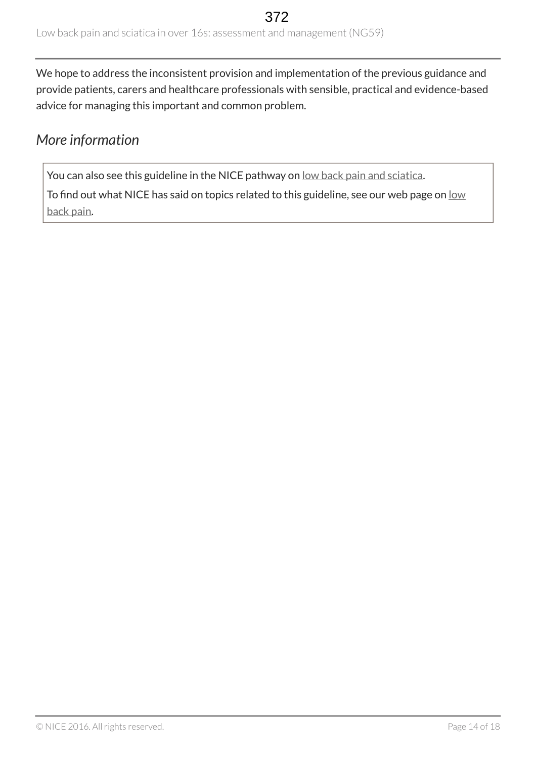We hope to address the inconsistent provision and implementation of the previous guidance and provide patients, carers and healthcare professionals with sensible, practical and evidence-based advice for managing this important and common problem.

## <span id="page-13-0"></span>*More information*

You can also see this guideline in the NICE pathway on [low back pain and sciatica](https://pathways.nice.org.uk/pathways/low-back-pain-and-sciatica).

To find out what NICE has said on topics related to this guideline, see our web page on [low](https://www.nice.org.uk/guidance/conditions-and-diseases/musculoskeletal-conditions/low-back-pain) [back pain](https://www.nice.org.uk/guidance/conditions-and-diseases/musculoskeletal-conditions/low-back-pain).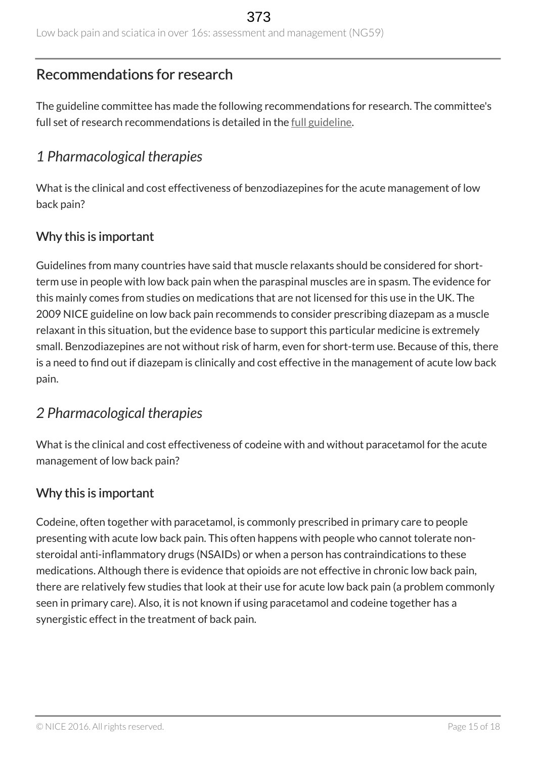## <span id="page-14-0"></span>Recommendations for research

The guideline committee has made the following recommendations for research. The committee's full set of research recommendations is detailed in the <u>[full guideline](http://www.nice.org.uk/Guidance/NG59/Evidence)</u>.

## <span id="page-14-1"></span>*1 Pharmacological therapies*

What is the clinical and cost effectiveness of benzodiazepines for the acute management of low back pain?

#### Why this is important

Guidelines from many countries have said that muscle relaxants should be considered for shortterm use in people with low back pain when the paraspinal muscles are in spasm. The evidence for this mainly comes from studies on medications that are not licensed for this use in the UK. The 2009 NICE guideline on low back pain recommends to consider prescribing diazepam as a muscle relaxant in this situation, but the evidence base to support this particular medicine is extremely small. Benzodiazepines are not without risk of harm, even for short-term use. Because of this, there is a need to find out if diazepam is clinically and cost effective in the management of acute low back pain.

## <span id="page-14-2"></span>*2 Pharmacological therapies*

What is the clinical and cost effectiveness of codeine with and without paracetamol for the acute management of low back pain?

## Why this is important

Codeine, often together with paracetamol, is commonly prescribed in primary care to people presenting with acute low back pain. This often happens with people who cannot tolerate nonsteroidal anti-inflammatory drugs (NSAIDs) or when a person has contraindications to these medications. Although there is evidence that opioids are not effective in chronic low back pain, there are relatively few studies that look at their use for acute low back pain (a problem commonly seen in primary care). Also, it is not known if using paracetamol and codeine together has a synergistic effect in the treatment of back pain.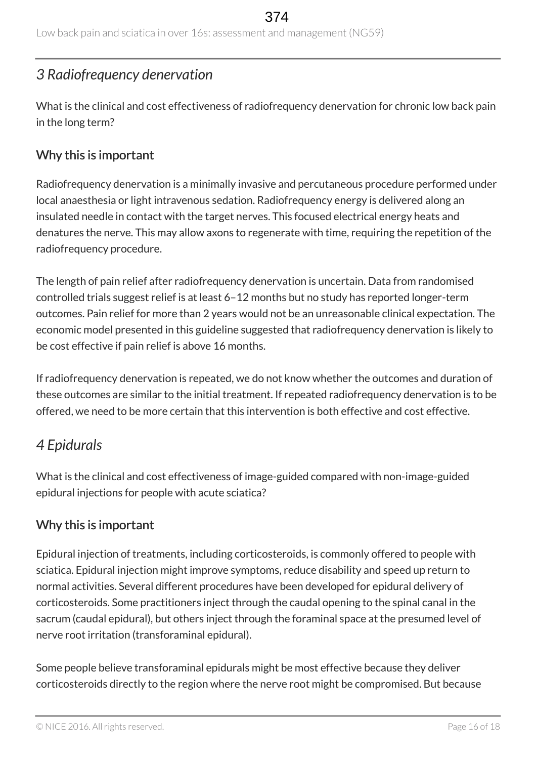Low back pain and sciatica in over 16s: assessment and management (NG59)

## <span id="page-15-0"></span>*3 Radiofrequency denervation*

What is the clinical and cost effectiveness of radiofrequency denervation for chronic low back pain in the long term?

#### Why this is important

Radiofrequency denervation is a minimally invasive and percutaneous procedure performed under local anaesthesia or light intravenous sedation. Radiofrequency energy is delivered along an insulated needle in contact with the target nerves. This focused electrical energy heats and denatures the nerve. This may allow axons to regenerate with time, requiring the repetition of the radiofrequency procedure.

The length of pain relief after radiofrequency denervation is uncertain. Data from randomised controlled trials suggest relief is at least 6–12 months but no study has reported longer-term outcomes. Pain relief for more than 2 years would not be an unreasonable clinical expectation. The economic model presented in this guideline suggested that radiofrequency denervation is likely to be cost effective if pain relief is above 16 months.

If radiofrequency denervation is repeated, we do not know whether the outcomes and duration of these outcomes are similar to the initial treatment. If repeated radiofrequency denervation is to be offered, we need to be more certain that this intervention is both effective and cost effective.

## <span id="page-15-1"></span>*4 Epidurals*

What is the clinical and cost effectiveness of image-guided compared with non-image-guided epidural injections for people with acute sciatica?

## Why this is important

Epidural injection of treatments, including corticosteroids, is commonly offered to people with sciatica. Epidural injection might improve symptoms, reduce disability and speed up return to normal activities. Several different procedures have been developed for epidural delivery of corticosteroids. Some practitioners inject through the caudal opening to the spinal canal in the sacrum (caudal epidural), but others inject through the foraminal space at the presumed level of nerve root irritation (transforaminal epidural).

Some people believe transforaminal epidurals might be most effective because they deliver corticosteroids directly to the region where the nerve root might be compromised. But because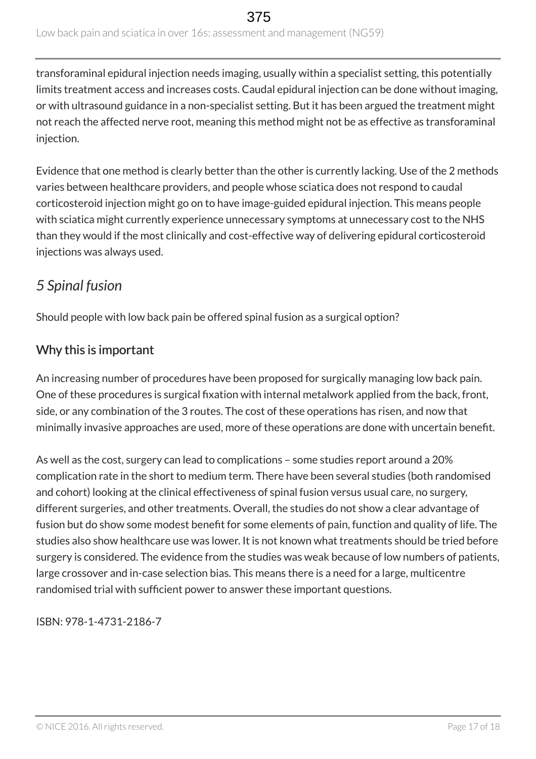transforaminal epidural injection needs imaging, usually within a specialist setting, this potentially limits treatment access and increases costs. Caudal epidural injection can be done without imaging, or with ultrasound guidance in a non-specialist setting. But it has been argued the treatment might not reach the affected nerve root, meaning this method might not be as effective as transforaminal injection.

Evidence that one method is clearly better than the other is currently lacking. Use of the 2 methods varies between healthcare providers, and people whose sciatica does not respond to caudal corticosteroid injection might go on to have image-guided epidural injection. This means people with sciatica might currently experience unnecessary symptoms at unnecessary cost to the NHS than they would if the most clinically and cost-effective way of delivering epidural corticosteroid injections was always used.

## <span id="page-16-0"></span>*5 Spinal fusion*

Should people with low back pain be offered spinal fusion as a surgical option?

## Why this is important

An increasing number of procedures have been proposed for surgically managing low back pain. One of these procedures is surgical fixation with internal metalwork applied from the back, front, side, or any combination of the 3 routes. The cost of these operations has risen, and now that minimally invasive approaches are used, more of these operations are done with uncertain benefit.

As well as the cost, surgery can lead to complications – some studies report around a 20% complication rate in the short to medium term. There have been several studies (both randomised and cohort) looking at the clinical effectiveness of spinal fusion versus usual care, no surgery, different surgeries, and other treatments. Overall, the studies do not show a clear advantage of fusion but do show some modest benefit for some elements of pain, function and quality of life. The studies also show healthcare use was lower. It is not known what treatments should be tried before surgery is considered. The evidence from the studies was weak because of low numbers of patients, large crossover and in-case selection bias. This means there is a need for a large, multicentre randomised trial with sufficient power to answer these important questions.

ISBN: 978-1-4731-2186-7